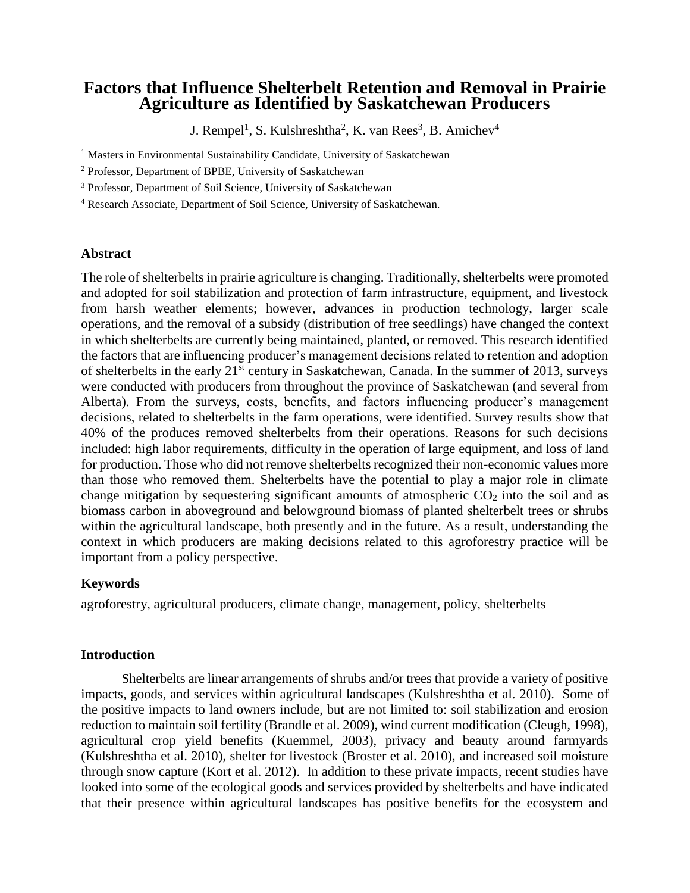# **Factors that Influence Shelterbelt Retention and Removal in Prairie Agriculture as Identified by Saskatchewan Producers**

J. Rempel<sup>1</sup>, S. Kulshreshtha<sup>2</sup>, K. van Rees<sup>3</sup>, B. Amichev<sup>4</sup>

<sup>1</sup> Masters in Environmental Sustainability Candidate, University of Saskatchewan

<sup>2</sup> Professor, Department of BPBE, University of Saskatchewan

<sup>3</sup> Professor, Department of Soil Science, University of Saskatchewan

<sup>4</sup> Research Associate, Department of Soil Science, University of Saskatchewan.

### **Abstract**

The role of shelterbelts in prairie agriculture is changing. Traditionally, shelterbelts were promoted and adopted for soil stabilization and protection of farm infrastructure, equipment, and livestock from harsh weather elements; however, advances in production technology, larger scale operations, and the removal of a subsidy (distribution of free seedlings) have changed the context in which shelterbelts are currently being maintained, planted, or removed. This research identified the factors that are influencing producer's management decisions related to retention and adoption of shelterbelts in the early 21<sup>st</sup> century in Saskatchewan, Canada. In the summer of 2013, surveys were conducted with producers from throughout the province of Saskatchewan (and several from Alberta). From the surveys, costs, benefits, and factors influencing producer's management decisions, related to shelterbelts in the farm operations, were identified. Survey results show that 40% of the produces removed shelterbelts from their operations. Reasons for such decisions included: high labor requirements, difficulty in the operation of large equipment, and loss of land for production. Those who did not remove shelterbelts recognized their non-economic values more than those who removed them. Shelterbelts have the potential to play a major role in climate change mitigation by sequestering significant amounts of atmospheric  $CO<sub>2</sub>$  into the soil and as biomass carbon in aboveground and belowground biomass of planted shelterbelt trees or shrubs within the agricultural landscape, both presently and in the future. As a result, understanding the context in which producers are making decisions related to this agroforestry practice will be important from a policy perspective.

# **Keywords**

agroforestry, agricultural producers, climate change, management, policy, shelterbelts

### **Introduction**

Shelterbelts are linear arrangements of shrubs and/or trees that provide a variety of positive impacts, goods, and services within agricultural landscapes (Kulshreshtha et al. 2010). Some of the positive impacts to land owners include, but are not limited to: soil stabilization and erosion reduction to maintain soil fertility (Brandle et al. 2009), wind current modification (Cleugh, 1998), agricultural crop yield benefits (Kuemmel, 2003), privacy and beauty around farmyards (Kulshreshtha et al. 2010), shelter for livestock (Broster et al. 2010), and increased soil moisture through snow capture (Kort et al. 2012). In addition to these private impacts, recent studies have looked into some of the ecological goods and services provided by shelterbelts and have indicated that their presence within agricultural landscapes has positive benefits for the ecosystem and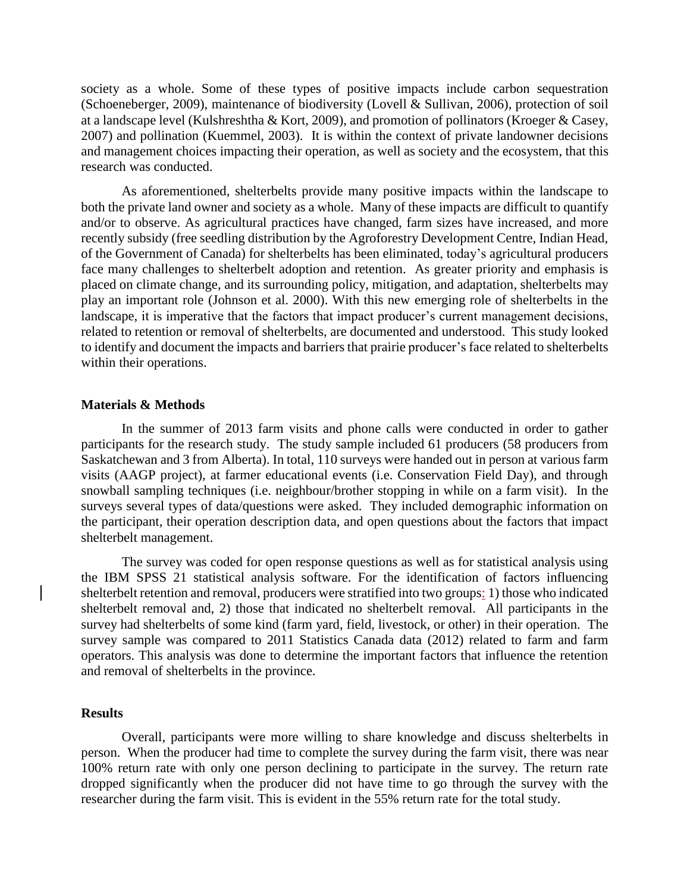society as a whole. Some of these types of positive impacts include carbon sequestration (Schoeneberger, 2009), maintenance of biodiversity (Lovell & Sullivan, 2006), protection of soil at a landscape level (Kulshreshtha & Kort, 2009), and promotion of pollinators (Kroeger & Casey, 2007) and pollination (Kuemmel, 2003). It is within the context of private landowner decisions and management choices impacting their operation, as well as society and the ecosystem, that this research was conducted.

As aforementioned, shelterbelts provide many positive impacts within the landscape to both the private land owner and society as a whole. Many of these impacts are difficult to quantify and/or to observe. As agricultural practices have changed, farm sizes have increased, and more recently subsidy (free seedling distribution by the Agroforestry Development Centre, Indian Head, of the Government of Canada) for shelterbelts has been eliminated, today's agricultural producers face many challenges to shelterbelt adoption and retention. As greater priority and emphasis is placed on climate change, and its surrounding policy, mitigation, and adaptation, shelterbelts may play an important role (Johnson et al. 2000). With this new emerging role of shelterbelts in the landscape, it is imperative that the factors that impact producer's current management decisions, related to retention or removal of shelterbelts, are documented and understood. This study looked to identify and document the impacts and barriers that prairie producer's face related to shelterbelts within their operations.

#### **Materials & Methods**

In the summer of 2013 farm visits and phone calls were conducted in order to gather participants for the research study. The study sample included 61 producers (58 producers from Saskatchewan and 3 from Alberta). In total, 110 surveys were handed out in person at various farm visits (AAGP project), at farmer educational events (i.e. Conservation Field Day), and through snowball sampling techniques (i.e. neighbour/brother stopping in while on a farm visit). In the surveys several types of data/questions were asked. They included demographic information on the participant, their operation description data, and open questions about the factors that impact shelterbelt management.

The survey was coded for open response questions as well as for statistical analysis using the IBM SPSS 21 statistical analysis software. For the identification of factors influencing shelterbelt retention and removal, producers were stratified into two groups: 1) those who indicated shelterbelt removal and, 2) those that indicated no shelterbelt removal. All participants in the survey had shelterbelts of some kind (farm yard, field, livestock, or other) in their operation. The survey sample was compared to 2011 Statistics Canada data (2012) related to farm and farm operators. This analysis was done to determine the important factors that influence the retention and removal of shelterbelts in the province.

### **Results**

Overall, participants were more willing to share knowledge and discuss shelterbelts in person. When the producer had time to complete the survey during the farm visit, there was near 100% return rate with only one person declining to participate in the survey. The return rate dropped significantly when the producer did not have time to go through the survey with the researcher during the farm visit. This is evident in the 55% return rate for the total study.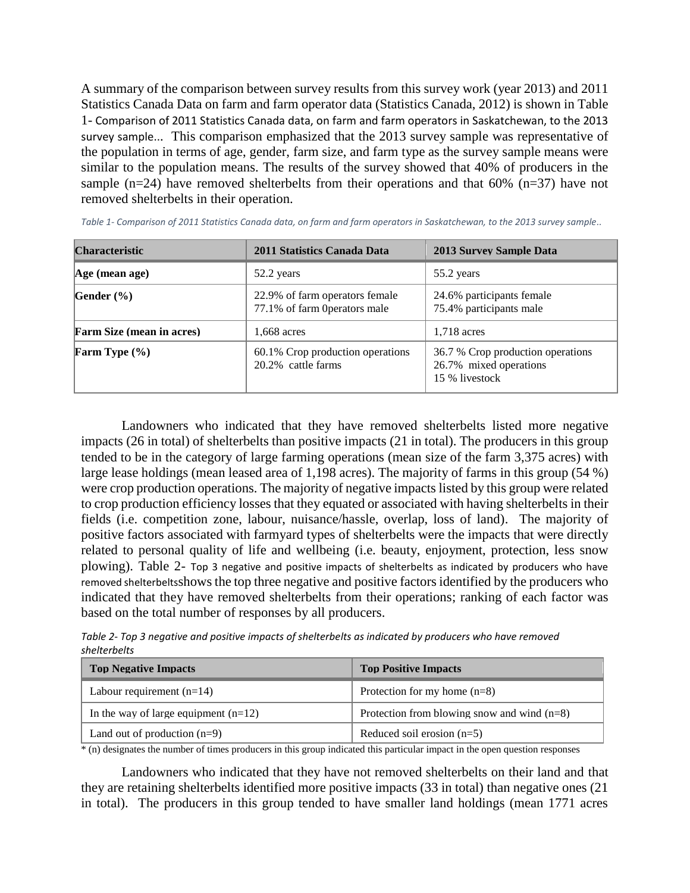A summary of the comparison between survey results from this survey work (year 2013) and 2011 Statistics Canada Data on farm and farm operator data (Statistics Canada, 2012) is shown in [Table](#page-2-0)  1- [Comparison of 2011 Statistics Canada data, on farm and farm operators in Saskatchewan, to the 2013](#page-2-0)  [survey sample..](#page-2-0). This comparison emphasized that the 2013 survey sample was representative of the population in terms of age, gender, farm size, and farm type as the survey sample means were similar to the population means. The results of the survey showed that 40% of producers in the sample (n=24) have removed shelterbelts from their operations and that  $60\%$  (n=37) have not removed shelterbelts in their operation.

| <b>Characteristic</b>            | 2011 Statistics Canada Data                                    | <b>2013 Survey Sample Data</b>                                                |
|----------------------------------|----------------------------------------------------------------|-------------------------------------------------------------------------------|
| Age (mean age)                   | 52.2 years                                                     | 55.2 years                                                                    |
| Gender $(\% )$                   | 22.9% of farm operators female<br>77.1% of farm 0perators male | 24.6% participants female<br>75.4% participants male                          |
| <b>Farm Size (mean in acres)</b> | 1,668 acres                                                    | $1.718$ acres                                                                 |
| Farm Type $(\% )$                | 60.1% Crop production operations<br>20.2% cattle farms         | 36.7 % Crop production operations<br>26.7% mixed operations<br>15 % livestock |

<span id="page-2-0"></span>*Table 1- Comparison of 2011 Statistics Canada data, on farm and farm operators in Saskatchewan, to the 2013 survey sample..* 

Landowners who indicated that they have removed shelterbelts listed more negative impacts (26 in total) of shelterbelts than positive impacts (21 in total). The producers in this group tended to be in the category of large farming operations (mean size of the farm 3,375 acres) with large lease holdings (mean leased area of 1,198 acres). The majority of farms in this group (54 %) were crop production operations. The majority of negative impacts listed by this group were related to crop production efficiency losses that they equated or associated with having shelterbelts in their fields (i.e. competition zone, labour, nuisance/hassle, overlap, loss of land). The majority of positive factors associated with farmyard types of shelterbelts were the impacts that were directly related to personal quality of life and wellbeing (i.e. beauty, enjoyment, protection, less snow plowing). Table 2- [Top 3 negative and positive impacts of shelterbelts as indicated by producers who have](#page-2-1)  [removed shelterbelts](#page-2-1)shows the top three negative and positive factors identified by the producers who indicated that they have removed shelterbelts from their operations; ranking of each factor was based on the total number of responses by all producers.

<span id="page-2-1"></span>*Table 2- Top 3 negative and positive impacts of shelterbelts as indicated by producers who have removed shelterbelts*

| <b>Top Negative Impacts</b>            | <b>Top Positive Impacts</b>                   |
|----------------------------------------|-----------------------------------------------|
| Labour requirement $(n=14)$            | Protection for my home $(n=8)$                |
| In the way of large equipment $(n=12)$ | Protection from blowing snow and wind $(n=8)$ |
| Land out of production $(n=9)$         | Reduced soil erosion $(n=5)$                  |

\* (n) designates the number of times producers in this group indicated this particular impact in the open question responses

Landowners who indicated that they have not removed shelterbelts on their land and that they are retaining shelterbelts identified more positive impacts (33 in total) than negative ones (21 in total). The producers in this group tended to have smaller land holdings (mean 1771 acres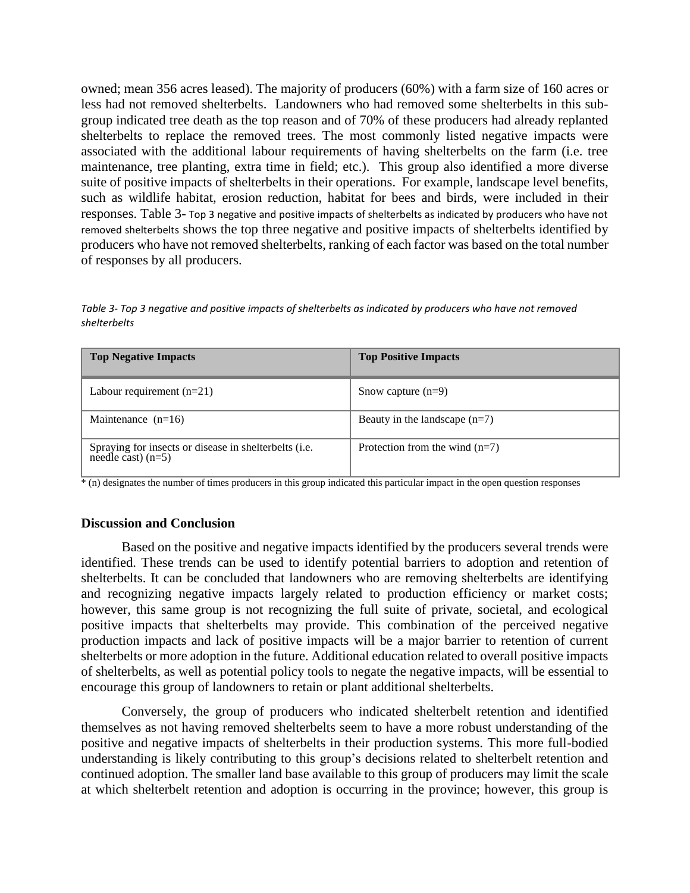owned; mean 356 acres leased). The majority of producers (60%) with a farm size of 160 acres or less had not removed shelterbelts. Landowners who had removed some shelterbelts in this subgroup indicated tree death as the top reason and of 70% of these producers had already replanted shelterbelts to replace the removed trees. The most commonly listed negative impacts were associated with the additional labour requirements of having shelterbelts on the farm (i.e. tree maintenance, tree planting, extra time in field; etc.). This group also identified a more diverse suite of positive impacts of shelterbelts in their operations. For example, landscape level benefits, such as wildlife habitat, erosion reduction, habitat for bees and birds, were included in their responses. Table 3- [Top 3 negative and positive impacts of shelterbelts as indicated by producers who have not](#page-3-0)  [removed shelterbelts](#page-3-0) shows the top three negative and positive impacts of shelterbelts identified by producers who have not removed shelterbelts, ranking of each factor was based on the total number of responses by all producers.

<span id="page-3-0"></span>*Table 3- Top 3 negative and positive impacts of shelterbelts as indicated by producers who have not removed shelterbelts*

| <b>Top Negative Impacts</b>                                                | <b>Top Positive Impacts</b>      |
|----------------------------------------------------------------------------|----------------------------------|
| Labour requirement $(n=21)$                                                | Snow capture $(n=9)$             |
| Maintenance $(n=16)$                                                       | Beauty in the landscape $(n=7)$  |
| Spraying for insects or disease in shelterbelts (i.e. needle cast) $(n=5)$ | Protection from the wind $(n=7)$ |

\* (n) designates the number of times producers in this group indicated this particular impact in the open question responses

# **Discussion and Conclusion**

Based on the positive and negative impacts identified by the producers several trends were identified. These trends can be used to identify potential barriers to adoption and retention of shelterbelts. It can be concluded that landowners who are removing shelterbelts are identifying and recognizing negative impacts largely related to production efficiency or market costs; however, this same group is not recognizing the full suite of private, societal, and ecological positive impacts that shelterbelts may provide. This combination of the perceived negative production impacts and lack of positive impacts will be a major barrier to retention of current shelterbelts or more adoption in the future. Additional education related to overall positive impacts of shelterbelts, as well as potential policy tools to negate the negative impacts, will be essential to encourage this group of landowners to retain or plant additional shelterbelts.

Conversely, the group of producers who indicated shelterbelt retention and identified themselves as not having removed shelterbelts seem to have a more robust understanding of the positive and negative impacts of shelterbelts in their production systems. This more full-bodied understanding is likely contributing to this group's decisions related to shelterbelt retention and continued adoption. The smaller land base available to this group of producers may limit the scale at which shelterbelt retention and adoption is occurring in the province; however, this group is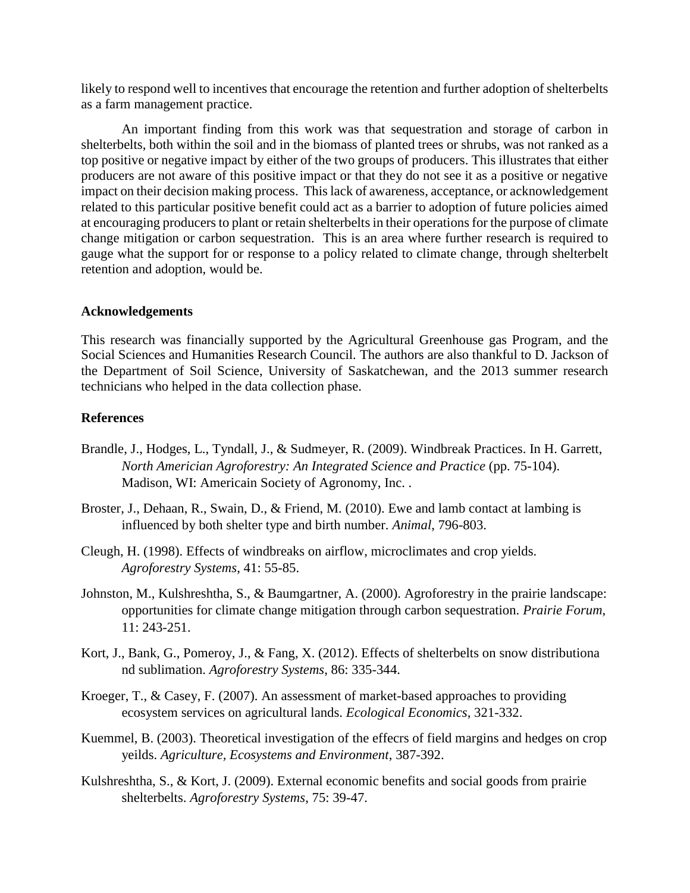likely to respond well to incentives that encourage the retention and further adoption of shelterbelts as a farm management practice.

An important finding from this work was that sequestration and storage of carbon in shelterbelts, both within the soil and in the biomass of planted trees or shrubs, was not ranked as a top positive or negative impact by either of the two groups of producers. This illustrates that either producers are not aware of this positive impact or that they do not see it as a positive or negative impact on their decision making process. This lack of awareness, acceptance, or acknowledgement related to this particular positive benefit could act as a barrier to adoption of future policies aimed at encouraging producers to plant or retain shelterbelts in their operations for the purpose of climate change mitigation or carbon sequestration. This is an area where further research is required to gauge what the support for or response to a policy related to climate change, through shelterbelt retention and adoption, would be.

# **Acknowledgements**

This research was financially supported by the Agricultural Greenhouse gas Program, and the Social Sciences and Humanities Research Council*.* The authors are also thankful to D. Jackson of the Department of Soil Science, University of Saskatchewan, and the 2013 summer research technicians who helped in the data collection phase.

# **References**

- Brandle, J., Hodges, L., Tyndall, J., & Sudmeyer, R. (2009). Windbreak Practices. In H. Garrett, *North Americian Agroforestry: An Integrated Science and Practice* (pp. 75-104). Madison, WI: Americain Society of Agronomy, Inc. .
- Broster, J., Dehaan, R., Swain, D., & Friend, M. (2010). Ewe and lamb contact at lambing is influenced by both shelter type and birth number. *Animal*, 796-803.
- Cleugh, H. (1998). Effects of windbreaks on airflow, microclimates and crop yields. *Agroforestry Systems*, 41: 55-85.
- Johnston, M., Kulshreshtha, S., & Baumgartner, A. (2000). Agroforestry in the prairie landscape: opportunities for climate change mitigation through carbon sequestration. *Prairie Forum*, 11: 243-251.
- Kort, J., Bank, G., Pomeroy, J., & Fang, X. (2012). Effects of shelterbelts on snow distributiona nd sublimation. *Agroforestry Systems*, 86: 335-344.
- Kroeger, T., & Casey, F. (2007). An assessment of market-based approaches to providing ecosystem services on agricultural lands. *Ecological Economics*, 321-332.
- Kuemmel, B. (2003). Theoretical investigation of the effecrs of field margins and hedges on crop yeilds. *Agriculture, Ecosystems and Environment*, 387-392.
- Kulshreshtha, S., & Kort, J. (2009). External economic benefits and social goods from prairie shelterbelts. *Agroforestry Systems*, 75: 39-47.